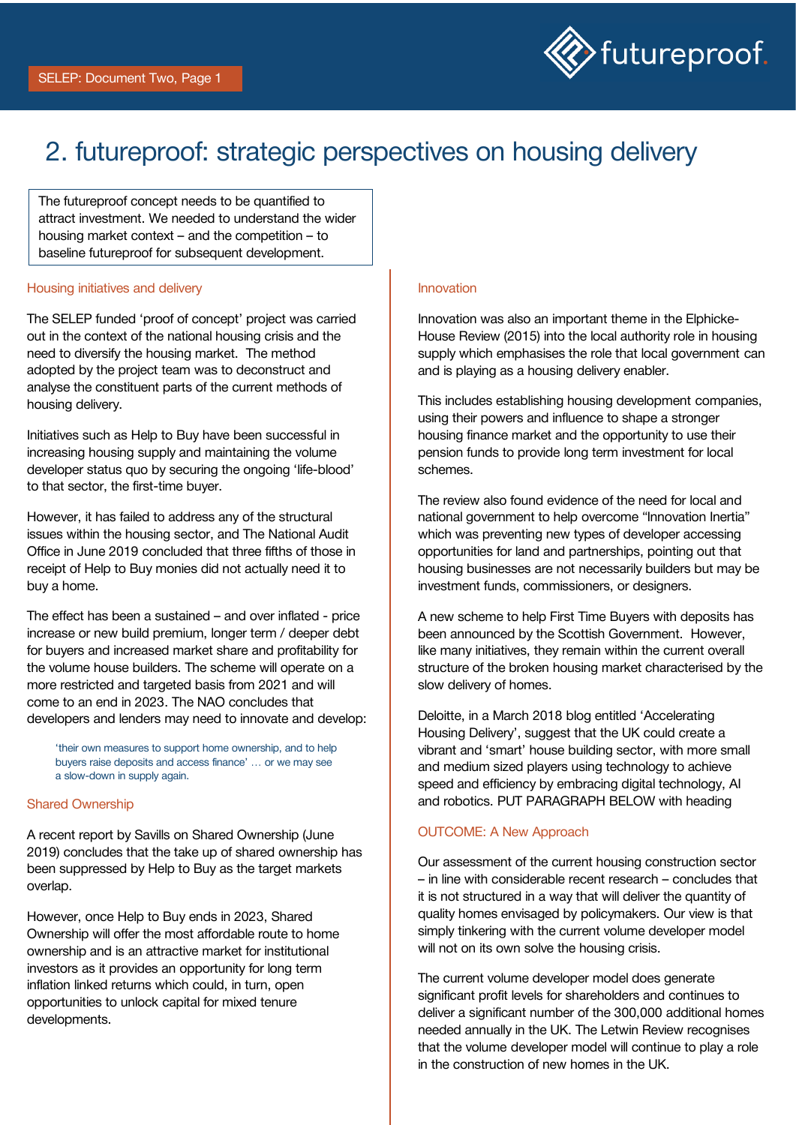

# 2. futureproof: strategic perspectives on housing delivery

The futureproof concept needs to be quantified to attract investment. We needed to understand the wider housing market context – and the competition – to baseline futureproof for subsequent development.

## Housing initiatives and delivery

The SELEP funded 'proof of concept' project was carried out in the context of the national housing crisis and the need to diversify the housing market. The method adopted by the project team was to deconstruct and analyse the constituent parts of the current methods of housing delivery.

Initiatives such as Help to Buy have been successful in increasing housing supply and maintaining the volume developer status quo by securing the ongoing 'life-blood' to that sector, the first-time buyer.

However, it has failed to address any of the structural issues within the housing sector, and The National Audit Office in June 2019 concluded that three fifths of those in receipt of Help to Buy monies did not actually need it to buy a home.

The effect has been a sustained – and over inflated - price increase or new build premium, longer term / deeper debt for buyers and increased market share and profitability for the volume house builders. The scheme will operate on a more restricted and targeted basis from 2021 and will come to an end in 2023. The NAO concludes that developers and lenders may need to innovate and develop:

'their own measures to support home ownership, and to help buyers raise deposits and access finance' … or we may see a slow-down in supply again.

#### Shared Ownership

A recent report by Savills on Shared Ownership (June 2019) concludes that the take up of shared ownership has been suppressed by Help to Buy as the target markets overlap.

However, once Help to Buy ends in 2023, Shared Ownership will offer the most affordable route to home ownership and is an attractive market for institutional investors as it provides an opportunity for long term inflation linked returns which could, in turn, open opportunities to unlock capital for mixed tenure developments.

## Innovation

Innovation was also an important theme in the Elphicke-House Review (2015) into the local authority role in housing supply which emphasises the role that local government can and is playing as a housing delivery enabler.

This includes establishing housing development companies, using their powers and influence to shape a stronger housing finance market and the opportunity to use their pension funds to provide long term investment for local schemes.

The review also found evidence of the need for local and national government to help overcome "Innovation Inertia" which was preventing new types of developer accessing opportunities for land and partnerships, pointing out that housing businesses are not necessarily builders but may be investment funds, commissioners, or designers.

A new scheme to help First Time Buyers with deposits has been announced by the Scottish Government. However, like many initiatives, they remain within the current overall structure of the broken housing market characterised by the slow delivery of homes.

Deloitte, in a March 2018 blog entitled 'Accelerating Housing Delivery', suggest that the UK could create a vibrant and 'smart' house building sector, with more small and medium sized players using technology to achieve speed and efficiency by embracing digital technology, AI and robotics. PUT PARAGRAPH BELOW with heading

#### OUTCOME: A New Approach

Our assessment of the current housing construction sector – in line with considerable recent research – concludes that it is not structured in a way that will deliver the quantity of quality homes envisaged by policymakers. Our view is that simply tinkering with the current volume developer model will not on its own solve the housing crisis.

The current volume developer model does generate significant profit levels for shareholders and continues to deliver a significant number of the 300,000 additional homes needed annually in the UK. The Letwin Review recognises that the volume developer model will continue to play a role in the construction of new homes in the UK.